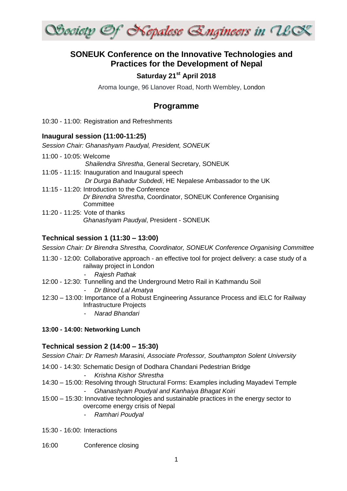

# **SONEUK Conference on the Innovative Technologies and Practices for the Development of Nepal**

## **Saturday 21st April 2018**

Aroma lounge, 96 Llanover Road, North Wembley, London

## **Programme**

10:30 - 11:00: Registration and Refreshments

#### **Inaugural session (11:00-11:25)**

*Session Chair: Ghanashyam Paudyal, President, SONEUK*

11:00 - 10:05: Welcome *Shailendra Shrestha*, General Secretary, SONEUK 11:05 - 11:15: Inauguration and Inaugural speech *Dr Durga Bahadur Subdedi*, HE Nepalese Ambassador to the UK 11:15 - 11:20: Introduction to the Conference *Dr Birendra Shrestha*, Coordinator, SONEUK Conference Organising **Committee** 11:20 - 11:25: Vote of thanks *Ghanashyam Paudyal*, President - SONEUK

#### **Technical session 1 (11:30 – 13:00)**

*Session Chair: Dr Birendra Shrestha, Coordinator, SONEUK Conference Organising Committee*

11:30 - 12:00: Collaborative approach - an effective tool for project delivery: a case study of a railway project in London

#### - *Rajesh Pathak*

12:00 - 12:30: Tunnelling and the Underground Metro Rail in Kathmandu Soil

#### - *Dr Binod Lal Amatya*

- 12:30 13:00: Importance of a Robust Engineering Assurance Process and iELC for Railway Infrastructure Projects
	- *Narad Bhandari*

#### **13:00 - 14:00: Networking Lunch**

#### **Technical session 2 (14:00 – 15:30)**

*Session Chair: Dr Ramesh Marasini, Associate Professor, Southampton Solent University*

- 14:00 14:30: Schematic Design of Dodhara Chandani Pedestrian Bridge
	- *Krishna Kishor Shrestha*
- 14:30 15:00: Resolving through Structural Forms: Examples including Mayadevi Temple - *Ghanashyam Poudyal and Kanhaiya Bhagat Koiri*
- 15:00 15:30: Innovative technologies and sustainable practices in the energy sector to overcome energy crisis of Nepal
	- *Ramhari Poudyal*
- 15:30 16:00: Interactions
- 16:00 Conference closing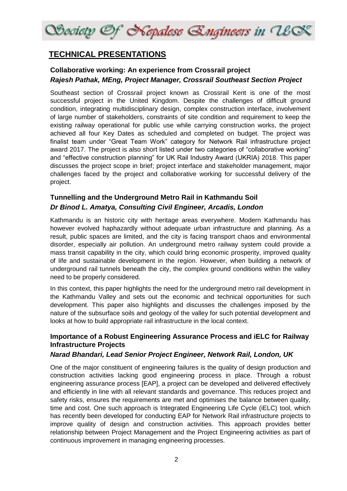

# **TECHNICAL PRESENTATIONS**

## **Collaborative working: An experience from Crossrail project** *Rajesh Pathak, MEng, Project Manager, Crossrail Southeast Section Project*

Southeast section of Crossrail project known as Crossrail Kent is one of the most successful project in the United Kingdom. Despite the challenges of difficult ground condition, integrating multidisciplinary design, complex construction interface, involvement of large number of stakeholders, constraints of site condition and requirement to keep the existing railway operational for public use while carrying construction works, the project achieved all four Key Dates as scheduled and completed on budget. The project was finalist team under "Great Team Work" category for Network Rail infrastructure project award 2017. The project is also short listed under two categories of "collaborative working" and "effective construction planning" for UK Rail Industry Award (UKRIA) 2018. This paper discusses the project scope in brief; project interface and stakeholder management, major challenges faced by the project and collaborative working for successful delivery of the project.

# **Tunnelling and the Underground Metro Rail in Kathmandu Soil** *Dr Binod L. Amatya, Consulting Civil Engineer, Arcadis, London*

Kathmandu is an historic city with heritage areas everywhere. Modern Kathmandu has however evolved haphazardly without adequate urban infrastructure and planning. As a result, public spaces are limited, and the city is facing transport chaos and environmental disorder, especially air pollution. An underground metro railway system could provide a mass transit capability in the city, which could bring economic prosperity, improved quality of life and sustainable development in the region. However, when building a network of underground rail tunnels beneath the city, the complex ground conditions within the valley need to be properly considered.

In this context, this paper highlights the need for the underground metro rail development in the Kathmandu Valley and sets out the economic and technical opportunities for such development. This paper also highlights and discusses the challenges imposed by the nature of the subsurface soils and geology of the valley for such potential development and looks at how to build appropriate rail infrastructure in the local context.

## **Importance of a Robust Engineering Assurance Process and iELC for Railway Infrastructure Projects**

### *Narad Bhandari, Lead Senior Project Engineer, Network Rail, London, UK*

One of the major constituent of engineering failures is the quality of design production and construction activities lacking good engineering process in place. Through a robust engineering assurance process [EAP], a project can be developed and delivered effectively and efficiently in line with all relevant standards and governance. This reduces project and safety risks, ensures the requirements are met and optimises the balance between quality, time and cost. One such approach is Integrated Engineering Life Cycle (iELC) tool, which has recently been developed for conducting EAP for Network Rail infrastructure projects to improve quality of design and construction activities. This approach provides better relationship between Project Management and the Project Engineering activities as part of continuous improvement in managing engineering processes.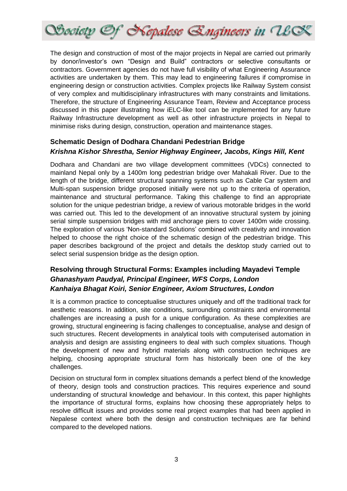

The design and construction of most of the major projects in Nepal are carried out primarily by donor/investor's own "Design and Build" contractors or selective consultants or contractors. Government agencies do not have full visibility of what Engineering Assurance activities are undertaken by them. This may lead to engineering failures if compromise in engineering design or construction activities. Complex projects like Railway System consist of very complex and multidisciplinary infrastructures with many constraints and limitations. Therefore, the structure of Engineering Assurance Team, Review and Acceptance process discussed in this paper illustrating how iELC-like tool can be implemented for any future Railway Infrastructure development as well as other infrastructure projects in Nepal to minimise risks during design, construction, operation and maintenance stages.

### **Schematic Design of Dodhara Chandani Pedestrian Bridge** *Krishna Kishor Shrestha, Senior Highway Engineer, Jacobs, Kings Hill, Kent*

Dodhara and Chandani are two village development committees (VDCs) connected to mainland Nepal only by a 1400m long pedestrian bridge over Mahakali River. Due to the length of the bridge, different structural spanning systems such as Cable Car system and Multi-span suspension bridge proposed initially were not up to the criteria of operation, maintenance and structural performance. Taking this challenge to find an appropriate solution for the unique pedestrian bridge, a review of various motorable bridges in the world was carried out. This led to the development of an innovative structural system by joining serial simple suspension bridges with mid anchorage piers to cover 1400m wide crossing. The exploration of various 'Non-standard Solutions' combined with creativity and innovation helped to choose the right choice of the schematic design of the pedestrian bridge. This paper describes background of the project and details the desktop study carried out to select serial suspension bridge as the design option.

# **Resolving through Structural Forms: Examples including Mayadevi Temple** *Ghanashyam Paudyal, Principal Engineer, WFS Corps, London Kanhaiya Bhagat Koiri, Senior Engineer, Axiom Structures, London*

It is a common practice to conceptualise structures uniquely and off the traditional track for aesthetic reasons. In addition, site conditions, surrounding constraints and environmental challenges are increasing a push for a unique configuration. As these complexities are growing, structural engineering is facing challenges to conceptualise, analyse and design of such structures. Recent developments in analytical tools with computerised automation in analysis and design are assisting engineers to deal with such complex situations. Though the development of new and hybrid materials along with construction techniques are helping, choosing appropriate structural form has historically been one of the key challenges.

Decision on structural form in complex situations demands a perfect blend of the knowledge of theory, design tools and construction practices. This requires experience and sound understanding of structural knowledge and behaviour. In this context, this paper highlights the importance of structural forms, explains how choosing these appropriately helps to resolve difficult issues and provides some real project examples that had been applied in Nepalese context where both the design and construction techniques are far behind compared to the developed nations.